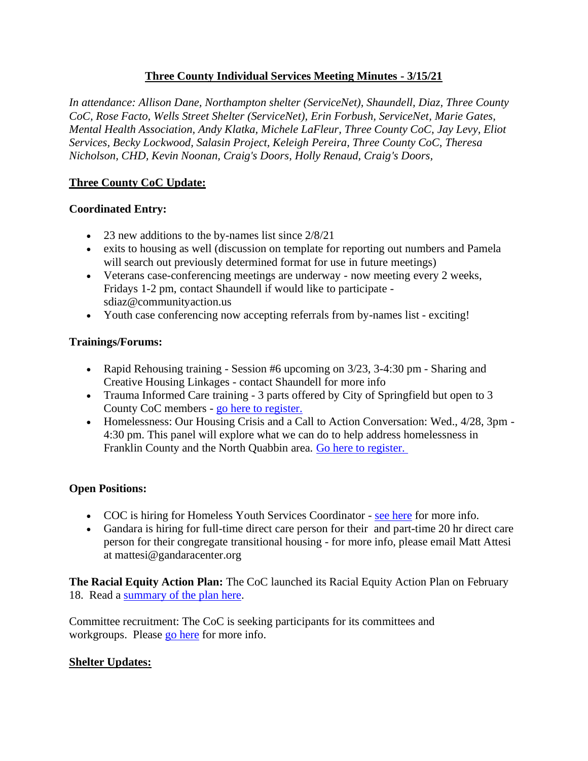## **Three County Individual Services Meeting Minutes - 3/15/21**

*In attendance: Allison Dane, Northampton shelter (ServiceNet), Shaundell, Diaz, Three County CoC, Rose Facto, Wells Street Shelter (ServiceNet), Erin Forbush, ServiceNet, Marie Gates, Mental Health Association, Andy Klatka, Michele LaFleur, Three County CoC, Jay Levy, Eliot Services, Becky Lockwood, Salasin Project, Keleigh Pereira, Three County CoC, Theresa Nicholson, CHD, Kevin Noonan, Craig's Doors, Holly Renaud, Craig's Doors,*

## **Three County CoC Update:**

#### **Coordinated Entry:**

- 23 new additions to the by-names list since  $2/8/21$
- exits to housing as well (discussion on template for reporting out numbers and Pamela will search out previously determined format for use in future meetings)
- Veterans case-conferencing meetings are underway now meeting every 2 weeks, Fridays 1-2 pm, contact Shaundell if would like to participate sdiaz@communityaction.us
- Youth case conferencing now accepting referrals from by-names list exciting!

### **Trainings/Forums:**

- Rapid Rehousing training Session #6 upcoming on 3/23, 3-4:30 pm Sharing and Creative Housing Linkages - contact Shaundell for more info
- Trauma Informed Care training 3 parts offered by City of Springfield but open to 3 County CoC members - [go here to register.](https://docs.google.com/forms/d/e/1FAIpQLSd6GXxZlKC8pANLOuNPyvsFEqXWLh66IHqIwlhVmS99Hg2MZQ/viewform)
- Homelessness: Our Housing Crisis and a Call to Action Conversation: Wed., 4/28, 3pm 4:30 pm. This panel will explore what we can do to help address homelessness in Franklin County and the North Quabbin area. [Go here to register.](https://zoom.us/meeting/register/tJAudeGoqjMvE9F7jiEIha64QP3v6rJcilU6)

#### **Open Positions:**

- COC is hiring for Homeless Youth Services Coordinator [see here](https://www.communityaction.us/job-openings) for more info.
- Gandara is hiring for full-time direct care person for their and part-time 20 hr direct care person for their congregate transitional housing - for more info, please email Matt Attesi at mattesi@gandaracenter.org

**The Racial Equity Action Plan:** The CoC launched its Racial Equity Action Plan on February 18. Read a [summary of the plan here.](https://www.westernmasshousingfirst.org/wp-content/uploads/2021/03/Three-County-Summary-Plan-021221.pdf)

Committee recruitment: The CoC is seeking participants for its committees and workgroups. Please [go here](https://d607b65e-0cad-4f63-aa20-535a17827430.filesusr.com/ugd/a74804_d822771bd59a49629792a3599f83d08b.docx?dn=Current%20committee%20and%20workgroup%20list%20fal) for more info.

# **Shelter Updates:**